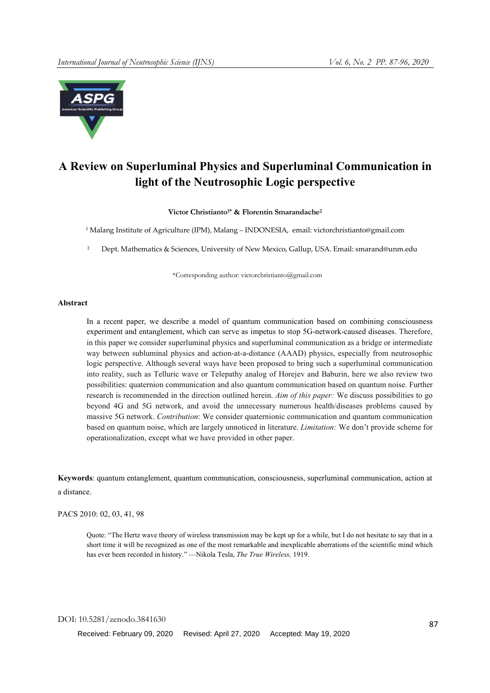

# A Review on Superluminal Physics and Superluminal Communication in light of the Neutrosophic Logic perspective

Victor Christianto<sup>1\*</sup> & Florentin Smarandache<sup>2</sup>

<sup>1</sup> Malang Institute of Agriculture (IPM), Malang – INDONESIA, email: victorchristianto@gmail.com

<sup>2</sup> Dept. Mathematics & Sciences, University of New Mexico, Gallup, USA. Email: smarand@unm.edu

\*Corresponding author: victorchristianto@gmail.com

## Abstract

In a recent paper, we describe a model of quantum communication based on combining consciousness experiment and entanglement, which can serve as impetus to stop 5G-network-caused diseases. Therefore, in this paper we consider superluminal physics and superluminal communication as a bridge or intermediate way between subluminal physics and action-at-a-distance (AAAD) physics, especially from neutrosophic logic perspective. Although several ways have been proposed to bring such a superluminal communication into reality, such as Telluric wave or Telepathy analog of Horejev and Baburin, here we also review two possibilities: quaternion communication and also quantum communication based on quantum noise. Further research is recommended in the direction outlined herein. *Aim of this paper:* We discuss possibilities to go beyond 4G and 5G network, and avoid the unnecessary numerous health/diseases problems caused by massive 5G network. *Contribution*: We consider quaternionic communication and quantum communication based on quantum noise, which are largely unnoticed in literature. *Limitation:* We don't provide scheme for operationalization, except what we have provided in other paper.

Keywords: quantum entanglement, quantum communication, consciousness, superluminal communication, action at a distance.

PACS 2010: 02, 03, 41, 98

Quote: "The Hertz wave theory of wireless transmission may be kept up for a while, but I do not hesitate to say that in a short time it will be recognized as one of the most remarkable and inexplicable aberrations of the scientific mind which has ever been recorded in history." —Nikola Tesla, *The True Wireless,* 1919.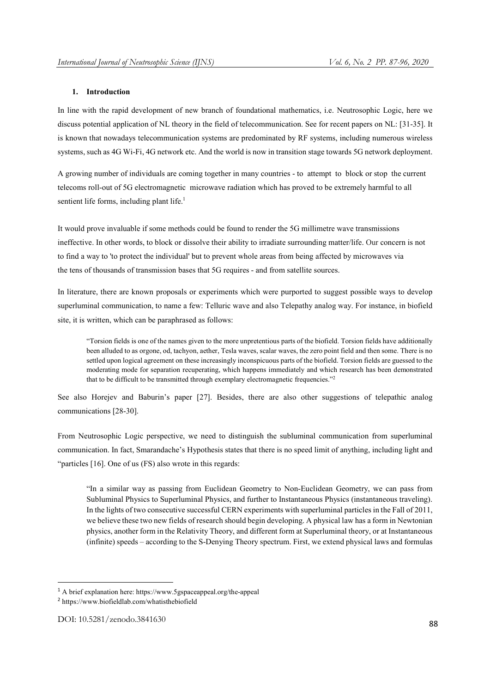#### 1. Introduction

In line with the rapid development of new branch of foundational mathematics, i.e. Neutrosophic Logic, here we discuss potential application of NL theory in the field of telecommunication. See for recent papers on NL: [31-35]. It is known that nowadays telecommunication systems are predominated by RF systems, including numerous wireless systems, such as 4G Wi-Fi, 4G network etc. And the world is now in transition stage towards 5G network deployment.

A growing number of individuals are coming together in many countries - to attempt to block or stop the current telecoms roll-out of 5G electromagnetic microwave radiation which has proved to be extremely harmful to all sentient life forms, including plant life.<sup>1</sup>

It would prove invaluable if some methods could be found to render the 5G millimetre wave transmissions ineffective. In other words, to block or dissolve their ability to irradiate surrounding matter/life. Our concern is not to find a way to 'to protect the individual' but to prevent whole areas from being affected by microwaves via the tens of thousands of transmission bases that 5G requires - and from satellite sources.

In literature, there are known proposals or experiments which were purported to suggest possible ways to develop superluminal communication, to name a few: Telluric wave and also Telepathy analog way. For instance, in biofield site, it is written, which can be paraphrased as follows:

"Torsion fields is one of the names given to the more unpretentious parts of the biofield. Torsion fields have additionally been alluded to as orgone, od, tachyon, aether, Tesla waves, scalar waves, the zero point field and then some. There is no settled upon logical agreement on these increasingly inconspicuous parts of the biofield. Torsion fields are guessed to the moderating mode for separation recuperating, which happens immediately and which research has been demonstrated that to be difficult to be transmitted through exemplary electromagnetic frequencies."2

See also Horejev and Baburin's paper [27]. Besides, there are also other suggestions of telepathic analog communications [28-30].

From Neutrosophic Logic perspective, we need to distinguish the subluminal communication from superluminal communication. In fact, Smarandache's Hypothesis states that there is no speed limit of anything, including light and "particles [16]. One of us (FS) also wrote in this regards:

"In a similar way as passing from Euclidean Geometry to Non-Euclidean Geometry, we can pass from Subluminal Physics to Superluminal Physics, and further to Instantaneous Physics (instantaneous traveling). In the lights of two consecutive successful CERN experiments with superluminal particles in the Fall of 2011, we believe these two new fields of research should begin developing. A physical law has a form in Newtonian physics, another form in the Relativity Theory, and different form at Superluminal theory, or at Instantaneous (infinite) speeds – according to the S-Denying Theory spectrum. First, we extend physical laws and formulas

 <sup>1</sup> A brief explanation here: https://www.5gspaceappeal.org/the-appeal

<sup>2</sup> https://www.biofieldlab.com/whatisthebiofield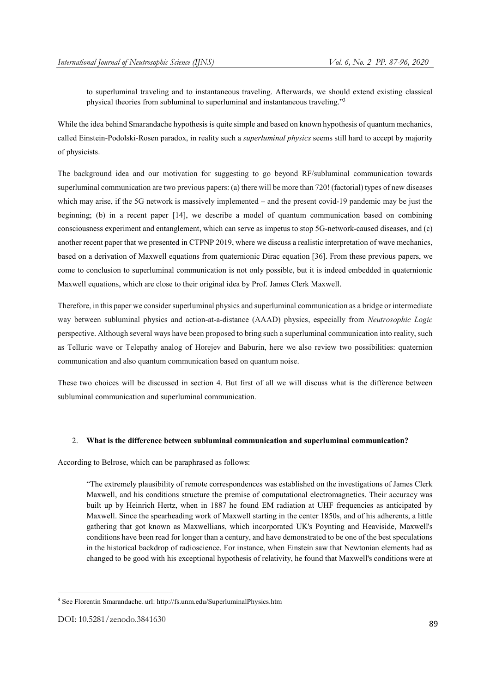to superluminal traveling and to instantaneous traveling. Afterwards, we should extend existing classical physical theories from subluminal to superluminal and instantaneous traveling."3

While the idea behind Smarandache hypothesis is quite simple and based on known hypothesis of quantum mechanics, called Einstein-Podolski-Rosen paradox, in reality such a *superluminal physics* seems still hard to accept by majority of physicists.

The background idea and our motivation for suggesting to go beyond RF/subluminal communication towards superluminal communication are two previous papers: (a) there will be more than 720! (factorial) types of new diseases which may arise, if the 5G network is massively implemented – and the present covid-19 pandemic may be just the beginning; (b) in a recent paper [14], we describe a model of quantum communication based on combining consciousness experiment and entanglement, which can serve as impetus to stop 5G-network-caused diseases, and (c) another recent paper that we presented in CTPNP 2019, where we discuss a realistic interpretation of wave mechanics, based on a derivation of Maxwell equations from quaternionic Dirac equation [36]. From these previous papers, we come to conclusion to superluminal communication is not only possible, but it is indeed embedded in quaternionic Maxwell equations, which are close to their original idea by Prof. James Clerk Maxwell.

Therefore, in this paper we consider superluminal physics and superluminal communication as a bridge or intermediate way between subluminal physics and action-at-a-distance (AAAD) physics, especially from *Neutrosophic Logic* perspective. Although several ways have been proposed to bring such a superluminal communication into reality, such as Telluric wave or Telepathy analog of Horejev and Baburin, here we also review two possibilities: quaternion communication and also quantum communication based on quantum noise.

These two choices will be discussed in section 4. But first of all we will discuss what is the difference between subluminal communication and superluminal communication.

## 2. What is the difference between subluminal communication and superluminal communication?

According to Belrose, which can be paraphrased as follows:

"The extremely plausibility of remote correspondences was established on the investigations of James Clerk Maxwell, and his conditions structure the premise of computational electromagnetics. Their accuracy was built up by Heinrich Hertz, when in 1887 he found EM radiation at UHF frequencies as anticipated by Maxwell. Since the spearheading work of Maxwell starting in the center 1850s, and of his adherents, a little gathering that got known as Maxwellians, which incorporated UK's Poynting and Heaviside, Maxwell's conditions have been read for longer than a century, and have demonstrated to be one of the best speculations in the historical backdrop of radioscience. For instance, when Einstein saw that Newtonian elements had as changed to be good with his exceptional hypothesis of relativity, he found that Maxwell's conditions were at

 <sup>3</sup> See Florentin Smarandache. url: http://fs.unm.edu/SuperluminalPhysics.htm

DOI: 10.5281/zenodo.3841630 89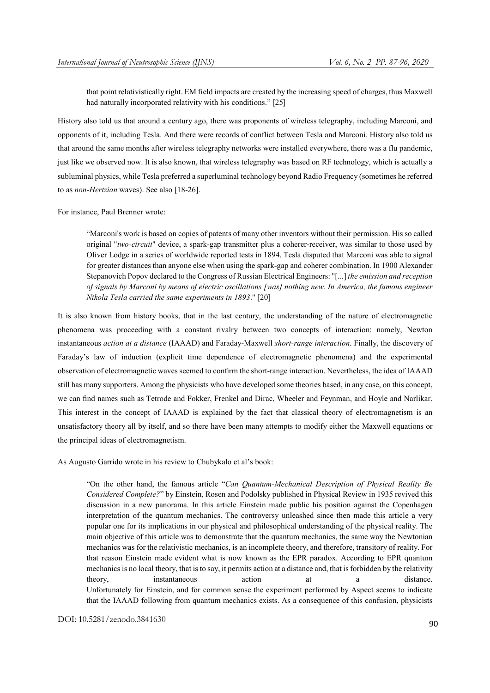that point relativistically right. EM field impacts are created by the increasing speed of charges, thus Maxwell had naturally incorporated relativity with his conditions." [25]

History also told us that around a century ago, there was proponents of wireless telegraphy, including Marconi, and opponents of it, including Tesla. And there were records of conflict between Tesla and Marconi. History also told us that around the same months after wireless telegraphy networks were installed everywhere, there was a flu pandemic, just like we observed now. It is also known, that wireless telegraphy was based on RF technology, which is actually a subluminal physics, while Tesla preferred a superluminal technology beyond Radio Frequency (sometimes he referred to as *non-Hertzian* waves). See also [18-26].

For instance, Paul Brenner wrote:

"Marconi's work is based on copies of patents of many other inventors without their permission. His so called original "*two-circuit*" device, a spark-gap transmitter plus a coherer-receiver, was similar to those used by Oliver Lodge in a series of worldwide reported tests in 1894. Tesla disputed that Marconi was able to signal for greater distances than anyone else when using the spark-gap and coherer combination. In 1900 Alexander Stepanovich Popov declared to the Congress of Russian Electrical Engineers: "[...] *the emission and reception of signals by Marconi by means of electric oscillations [was] nothing new. In America, the famous engineer Nikola Tesla carried the same experiments in 1893*." [20]

It is also known from history books, that in the last century, the understanding of the nature of electromagnetic phenomena was proceeding with a constant rivalry between two concepts of interaction: namely, Newton instantaneous *action at a distance* (IAAAD) and Faraday-Maxwell *short-range interaction*. Finally, the discovery of Faraday's law of induction (explicit time dependence of electromagnetic phenomena) and the experimental observation of electromagnetic waves seemed to confirm the short-range interaction. Nevertheless, the idea of IAAAD still has many supporters. Among the physicists who have developed some theories based, in any case, on this concept, we can find names such as Tetrode and Fokker, Frenkel and Dirac, Wheeler and Feynman, and Hoyle and Narlikar. This interest in the concept of IAAAD is explained by the fact that classical theory of electromagnetism is an unsatisfactory theory all by itself, and so there have been many attempts to modify either the Maxwell equations or the principal ideas of electromagnetism.

As Augusto Garrido wrote in his review to Chubykalo et al's book:

"On the other hand, the famous article "*Can Quantum-Mechanical Description of Physical Reality Be Considered Complete?*" by Einstein, Rosen and Podolsky published in Physical Review in 1935 revived this discussion in a new panorama. In this article Einstein made public his position against the Copenhagen interpretation of the quantum mechanics. The controversy unleashed since then made this article a very popular one for its implications in our physical and philosophical understanding of the physical reality. The main objective of this article was to demonstrate that the quantum mechanics, the same way the Newtonian mechanics was for the relativistic mechanics, is an incomplete theory, and therefore, transitory of reality. For that reason Einstein made evident what is now known as the EPR paradox. According to EPR quantum mechanics is no local theory, that is to say, it permits action at a distance and, that is forbidden by the relativity theory, instantaneous action at a distance. Unfortunately for Einstein, and for common sense the experiment performed by Aspect seems to indicate that the IAAAD following from quantum mechanics exists. As a consequence of this confusion, physicists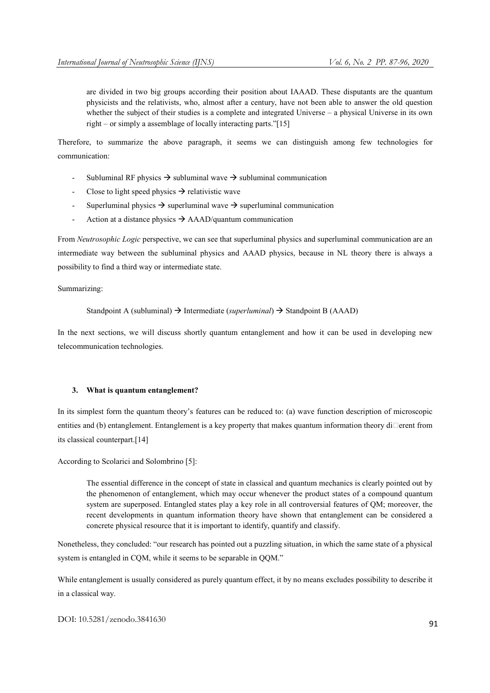are divided in two big groups according their position about IAAAD. These disputants are the quantum physicists and the relativists, who, almost after a century, have not been able to answer the old question whether the subject of their studies is a complete and integrated Universe – a physical Universe in its own right – or simply a assemblage of locally interacting parts."[15]

Therefore, to summarize the above paragraph, it seems we can distinguish among few technologies for communication:

- Subluminal RF physics  $\rightarrow$  subluminal wave  $\rightarrow$  subluminal communication
- Close to light speed physics  $\rightarrow$  relativistic wave
- Superluminal physics  $\rightarrow$  superluminal wave  $\rightarrow$  superluminal communication
- Action at a distance physics  $\rightarrow$  AAAD/quantum communication

From *Neutrosophic Logic* perspective, we can see that superluminal physics and superluminal communication are an intermediate way between the subluminal physics and AAAD physics, because in NL theory there is always a possibility to find a third way or intermediate state.

Summarizing:

Standpoint A (subluminal)  $\rightarrow$  Intermediate (*superluminal*)  $\rightarrow$  Standpoint B (AAAD)

In the next sections, we will discuss shortly quantum entanglement and how it can be used in developing new telecommunication technologies.

## 3. What is quantum entanglement?

In its simplest form the quantum theory's features can be reduced to: (a) wave function description of microscopic entities and (b) entanglement. Entanglement is a key property that makes quantum information theory di $\Box$ erent from its classical counterpart.[14]

According to Scolarici and Solombrino [5]:

The essential difference in the concept of state in classical and quantum mechanics is clearly pointed out by the phenomenon of entanglement, which may occur whenever the product states of a compound quantum system are superposed. Entangled states play a key role in all controversial features of QM; moreover, the recent developments in quantum information theory have shown that entanglement can be considered a concrete physical resource that it is important to identify, quantify and classify.

Nonetheless, they concluded: "our research has pointed out a puzzling situation, in which the same state of a physical system is entangled in CQM, while it seems to be separable in QQM."

While entanglement is usually considered as purely quantum effect, it by no means excludes possibility to describe it in a classical way.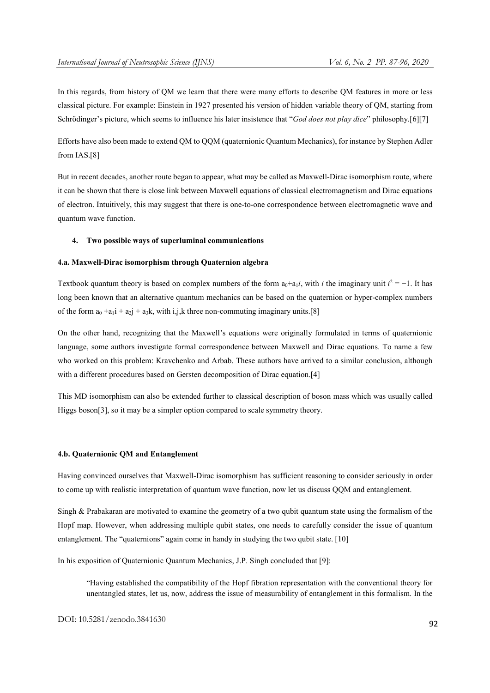In this regards, from history of QM we learn that there were many efforts to describe QM features in more or less classical picture. For example: Einstein in 1927 presented his version of hidden variable theory of QM, starting from Schrödinger's picture, which seems to influence his later insistence that "*God does not play dice*" philosophy.[6][7]

Efforts have also been made to extend QM to QQM (quaternionic Quantum Mechanics), for instance by Stephen Adler from IAS.[8]

But in recent decades, another route began to appear, what may be called as Maxwell-Dirac isomorphism route, where it can be shown that there is close link between Maxwell equations of classical electromagnetism and Dirac equations of electron. Intuitively, this may suggest that there is one-to-one correspondence between electromagnetic wave and quantum wave function.

## 4. Two possible ways of superluminal communications

#### 4.a. Maxwell-Dirac isomorphism through Quaternion algebra

Textbook quantum theory is based on complex numbers of the form  $a_0 + a_1 i$ , with *i* the imaginary unit  $i^2 = -1$ . It has long been known that an alternative quantum mechanics can be based on the quaternion or hyper-complex numbers of the form  $a_0 + a_1i + a_2i + a_3k$ , with i,j,k three non-commuting imaginary units.[8]

On the other hand, recognizing that the Maxwell's equations were originally formulated in terms of quaternionic language, some authors investigate formal correspondence between Maxwell and Dirac equations. To name a few who worked on this problem: Kravchenko and Arbab. These authors have arrived to a similar conclusion, although with a different procedures based on Gersten decomposition of Dirac equation.[4]

This MD isomorphism can also be extended further to classical description of boson mass which was usually called Higgs boson[3], so it may be a simpler option compared to scale symmetry theory.

#### 4.b. Quaternionic QM and Entanglement

Having convinced ourselves that Maxwell-Dirac isomorphism has sufficient reasoning to consider seriously in order to come up with realistic interpretation of quantum wave function, now let us discuss QQM and entanglement.

Singh & Prabakaran are motivated to examine the geometry of a two qubit quantum state using the formalism of the Hopf map. However, when addressing multiple qubit states, one needs to carefully consider the issue of quantum entanglement. The "quaternions" again come in handy in studying the two qubit state. [10]

In his exposition of Quaternionic Quantum Mechanics, J.P. Singh concluded that [9]:

"Having established the compatibility of the Hopf fibration representation with the conventional theory for unentangled states, let us, now, address the issue of measurability of entanglement in this formalism. In the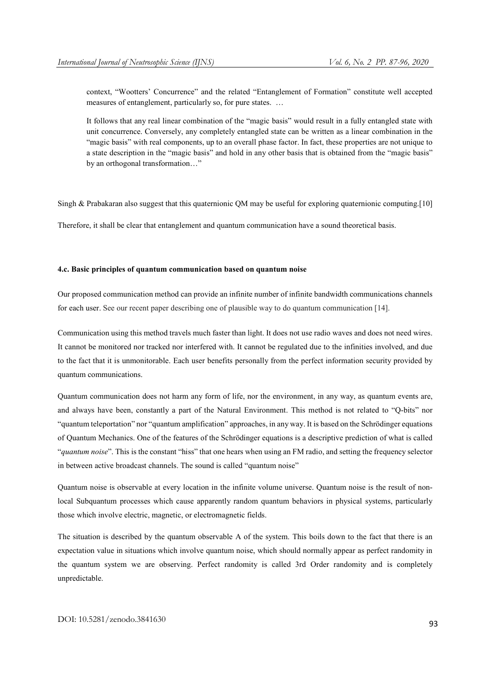context, "Wootters' Concurrence" and the related "Entanglement of Formation" constitute well accepted measures of entanglement, particularly so, for pure states. …

It follows that any real linear combination of the "magic basis" would result in a fully entangled state with unit concurrence. Conversely, any completely entangled state can be written as a linear combination in the "magic basis" with real components, up to an overall phase factor. In fact, these properties are not unique to a state description in the "magic basis" and hold in any other basis that is obtained from the "magic basis" by an orthogonal transformation…"

Singh & Prabakaran also suggest that this quaternionic QM may be useful for exploring quaternionic computing.[10]

Therefore, it shall be clear that entanglement and quantum communication have a sound theoretical basis.

## 4.c. Basic principles of quantum communication based on quantum noise

Our proposed communication method can provide an infinite number of infinite bandwidth communications channels for each user. See our recent paper describing one of plausible way to do quantum communication [14].

Communication using this method travels much faster than light. It does not use radio waves and does not need wires. It cannot be monitored nor tracked nor interfered with. It cannot be regulated due to the infinities involved, and due to the fact that it is unmonitorable. Each user benefits personally from the perfect information security provided by quantum communications.

Quantum communication does not harm any form of life, nor the environment, in any way, as quantum events are, and always have been, constantly a part of the Natural Environment. This method is not related to "Q-bits" nor "quantum teleportation" nor "quantum amplification" approaches, in any way. It is based on the Schrödinger equations of Quantum Mechanics. One of the features of the Schrödinger equations is a descriptive prediction of what is called "*quantum noise*". This is the constant "hiss" that one hears when using an FM radio, and setting the frequency selector in between active broadcast channels. The sound is called "quantum noise"

Quantum noise is observable at every location in the infinite volume universe. Quantum noise is the result of nonlocal Subquantum processes which cause apparently random quantum behaviors in physical systems, particularly those which involve electric, magnetic, or electromagnetic fields.

The situation is described by the quantum observable A of the system. This boils down to the fact that there is an expectation value in situations which involve quantum noise, which should normally appear as perfect randomity in the quantum system we are observing. Perfect randomity is called 3rd Order randomity and is completely unpredictable.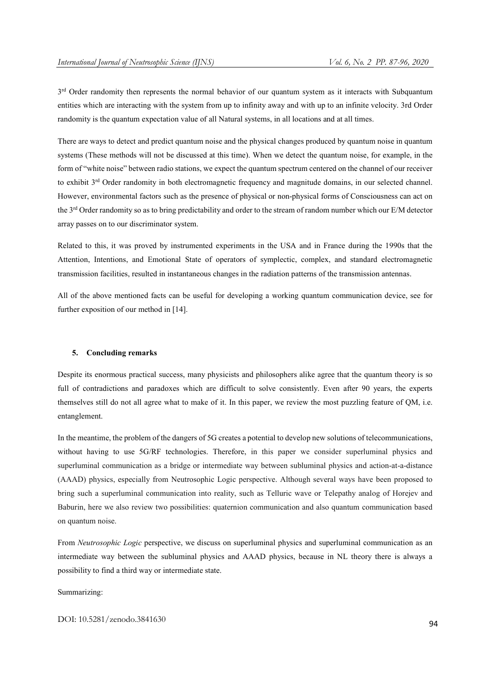3<sup>rd</sup> Order randomity then represents the normal behavior of our quantum system as it interacts with Subquantum entities which are interacting with the system from up to infinity away and with up to an infinite velocity. 3rd Order randomity is the quantum expectation value of all Natural systems, in all locations and at all times.

There are ways to detect and predict quantum noise and the physical changes produced by quantum noise in quantum systems (These methods will not be discussed at this time). When we detect the quantum noise, for example, in the form of "white noise" between radio stations, we expect the quantum spectrum centered on the channel of our receiver to exhibit  $3^{rd}$  Order randomity in both electromagnetic frequency and magnitude domains, in our selected channel. However, environmental factors such as the presence of physical or non-physical forms of Consciousness can act on the 3<sup>rd</sup> Order randomity so as to bring predictability and order to the stream of random number which our E/M detector array passes on to our discriminator system.

Related to this, it was proved by instrumented experiments in the USA and in France during the 1990s that the Attention, Intentions, and Emotional State of operators of symplectic, complex, and standard electromagnetic transmission facilities, resulted in instantaneous changes in the radiation patterns of the transmission antennas.

All of the above mentioned facts can be useful for developing a working quantum communication device, see for further exposition of our method in [14].

#### 5. Concluding remarks

Despite its enormous practical success, many physicists and philosophers alike agree that the quantum theory is so full of contradictions and paradoxes which are difficult to solve consistently. Even after 90 years, the experts themselves still do not all agree what to make of it. In this paper, we review the most puzzling feature of QM, i.e. entanglement.

In the meantime, the problem of the dangers of 5G creates a potential to develop new solutions of telecommunications, without having to use  $5G/RF$  technologies. Therefore, in this paper we consider superluminal physics and superluminal communication as a bridge or intermediate way between subluminal physics and action-at-a-distance (AAAD) physics, especially from Neutrosophic Logic perspective. Although several ways have been proposed to bring such a superluminal communication into reality, such as Telluric wave or Telepathy analog of Horejev and Baburin, here we also review two possibilities: quaternion communication and also quantum communication based on quantum noise.

From *Neutrosophic Logic* perspective, we discuss on superluminal physics and superluminal communication as an intermediate way between the subluminal physics and AAAD physics, because in NL theory there is always a possibility to find a third way or intermediate state.

Summarizing: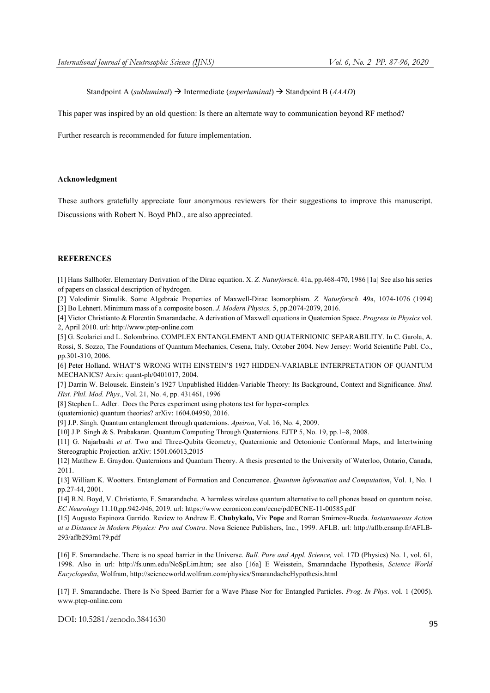Standpoint A (*subluminal*) → Intermediate (*superluminal*) → Standpoint B (*AAAD*)

This paper was inspired by an old question: Is there an alternate way to communication beyond RF method?

Further research is recommended for future implementation.

## Acknowledgment

These authors gratefully appreciate four anonymous reviewers for their suggestions to improve this manuscript. Discussions with Robert N. Boyd PhD., are also appreciated.

#### **REFERENCES**

[1] Hans Sallhofer. Elementary Derivation of the Dirac equation. X. *Z. Naturforsch*. 41a, pp.468-470, 1986 [1a] See also his series of papers on classical description of hydrogen.

[2] Volodimir Simulik. Some Algebraic Properties of Maxwell-Dirac Isomorphism. *Z. Naturforsch*. 49a, 1074-1076 (1994) [3] Bo Lehnert. Minimum mass of a composite boson. *J. Modern Physics,* 5, pp.2074-2079, 2016.

[4] Victor Christianto & Florentin Smarandache. A derivation of Maxwell equations in Quaternion Space. *Progress in Physics* vol. 2, April 2010. url: http://www.ptep-online.com

[5] G. Scolarici and L. Solombrino. COMPLEX ENTANGLEMENT AND QUATERNIONIC SEPARABILITY. In C. Garola, A. Rossi, S. Sozzo, The Foundations of Quantum Mechanics, Cesena, Italy, October 2004. New Jersey: World Scientific Publ. Co., pp.301-310, 2006.

[6] Peter Holland. WHAT'S WRONG WITH EINSTEIN'S 1927 HIDDEN-VARIABLE INTERPRETATION OF QUANTUM MECHANICS? Arxiv: quant-ph/0401017, 2004.

[7] Darrin W. Belousek. Einstein's 1927 Unpublished Hidden-Variable Theory: Its Background, Context and Significance. *Stud. Hist. Phil. Mod. Phys*., Vol. 21, No. 4, pp. 431461, 1996

[8] Stephen L. Adler. Does the Peres experiment using photons test for hyper-complex

(quaternionic) quantum theories? arXiv: 1604.04950, 2016.

[9] J.P. Singh. Quantum entanglement through quaternions. *Apeiron*, Vol. 16, No. 4, 2009.

[10] J.P. Singh & S. Prabakaran. Quantum Computing Through Quaternions. EJTP 5, No. 19, pp.1–8, 2008.

[11] G. Najarbashi *et al.* Two and Three-Qubits Geometry, Quaternionic and Octonionic Conformal Maps, and Intertwining Stereographic Projection. arXiv: 1501.06013,2015

[12] Matthew E. Graydon. Quaternions and Quantum Theory. A thesis presented to the University of Waterloo, Ontario, Canada, 2011.

[13] William K. Wootters. Entanglement of Formation and Concurrence. *Quantum Information and Computation*, Vol. 1, No. 1 pp.27-44, 2001.

[14] R.N. Boyd, V. Christianto, F. Smarandache. A harmless wireless quantum alternative to cell phones based on quantum noise. *EC Neurology* 11.10,pp.942-946, 2019. url: https://www.ecronicon.com/ecne/pdf/ECNE-11-00585.pdf

[15] Augusto Espinoza Garrido. Review to Andrew E. Chubykalo, Viv Pope and Roman Smirnov-Rueda. *Instantaneous Action at a Distance in Modern Physics: Pro and Contra*. Nova Science Publishers, Inc., 1999. AFLB. url: http://aflb.ensmp.fr/AFLB-293/aflb293m179.pdf

[16] F. Smarandache. There is no speed barrier in the Universe. *Bull. Pure and Appl. Science,* vol. 17D (Physics) No. 1, vol. 61, 1998. Also in url: http://fs.unm.edu/NoSpLim.htm; see also [16a] E Weisstein, Smarandache Hypothesis, *Science World Encyclopedia*, Wolfram, http://scienceworld.wolfram.com/physics/SmarandacheHypothesis.html

[17] F. Smarandache. There Is No Speed Barrier for a Wave Phase Nor for Entangled Particles. *Prog. In Phys*. vol. 1 (2005). www.ptep-online.com